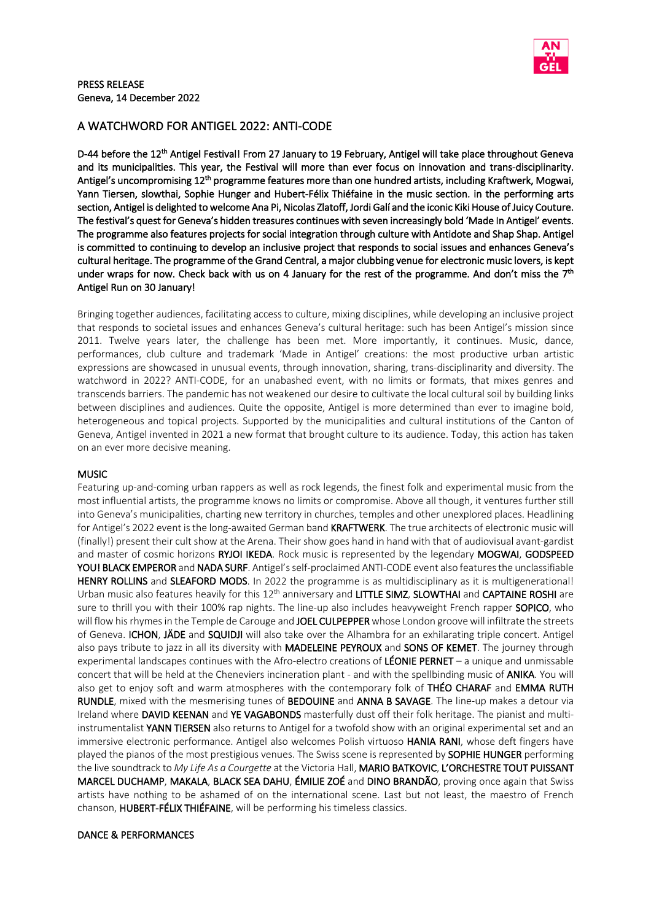

## A WATCHWORD FOR ANTIGEL 2022: ANTI-CODE

D-44 before the 12<sup>th</sup> Antigel Festival! From 27 January to 19 February, Antigel will take place throughout Geneva and its municipalities. This year, the Festival will more than ever focus on innovation and trans-disciplinarity. Antigel's uncompromising 12<sup>th</sup> programme features more than one hundred artists, including Kraftwerk, Mogwai, Yann Tiersen, slowthai, Sophie Hunger and Hubert-Félix Thiéfaine in the music section. in the performing arts section, Antigel is delighted to welcome Ana Pi, Nicolas Zlatoff, Jordi Galí and the iconic Kiki House of Juicy Couture. The festival's quest for Geneva's hidden treasures continues with seven increasingly bold 'Made In Antigel' events. The programme also features projects for social integration through culture with Antidote and Shap Shap. Antigel is committed to continuing to develop an inclusive project that responds to social issues and enhances Geneva's cultural heritage. The programme of the Grand Central, a major clubbing venue for electronic music lovers, is kept under wraps for now. Check back with us on 4 January for the rest of the programme. And don't miss the 7<sup>th</sup> Antigel Run on 30 January!

Bringing together audiences, facilitating access to culture, mixing disciplines, while developing an inclusive project that responds to societal issues and enhances Geneva's cultural heritage: such has been Antigel's mission since 2011. Twelve years later, the challenge has been met. More importantly, it continues. Music, dance, performances, club culture and trademark 'Made in Antigel' creations: the most productive urban artistic expressions are showcased in unusual events, through innovation, sharing, trans-disciplinarity and diversity. The watchword in 2022? ANTI-CODE, for an unabashed event, with no limits or formats, that mixes genres and transcends barriers. The pandemic has not weakened our desire to cultivate the local cultural soil by building links between disciplines and audiences. Quite the opposite, Antigel is more determined than ever to imagine bold, heterogeneous and topical projects. Supported by the municipalities and cultural institutions of the Canton of Geneva, Antigel invented in 2021 a new format that brought culture to its audience. Today, this action has taken on an ever more decisive meaning.

## MUSIC

Featuring up-and-coming urban rappers as well as rock legends, the finest folk and experimental music from the most influential artists, the programme knows no limits or compromise. Above all though, it ventures further still into Geneva's municipalities, charting new territory in churches, temples and other unexplored places. Headlining for Antigel's 2022 event is the long-awaited German band KRAFTWERK. The true architects of electronic music will (finally!) present their cult show at the Arena. Their show goes hand in hand with that of audiovisual avant-gardist and master of cosmic horizons RYJOI IKEDA. Rock music is represented by the legendary MOGWAI, GODSPEED YOU! BLACK EMPEROR and NADA SURF. Antigel's self-proclaimed ANTI-CODE event also features the unclassifiable HENRY ROLLINS and SLEAFORD MODS. In 2022 the programme is as multidisciplinary as it is multigenerational! Urban music also features heavily for this 12<sup>th</sup> anniversary and LITTLE SIMZ, SLOWTHAI and CAPTAINE ROSHI are sure to thrill you with their 100% rap nights. The line-up also includes heavyweight French rapper SOPICO, who will flow his rhymes in the Temple de Carouge and JOEL CULPEPPER whose London groove will infiltrate the streets of Geneva. ICHON, JÄDE and SQUIDJI will also take over the Alhambra for an exhilarating triple concert. Antigel also pays tribute to jazz in all its diversity with MADELEINE PEYROUX and SONS OF KEMET. The journey through experimental landscapes continues with the Afro-electro creations of LÉONIE PERNET – a unique and unmissable concert that will be held at the Cheneviers incineration plant - and with the spellbinding music of ANIKA. You will also get to enjoy soft and warm atmospheres with the contemporary folk of THÉO CHARAF and EMMA RUTH RUNDLE, mixed with the mesmerising tunes of BEDOUINE and ANNA B SAVAGE. The line-up makes a detour via Ireland where DAVID KEENAN and YE VAGABONDS masterfully dust off their folk heritage. The pianist and multiinstrumentalist YANN TIERSEN also returns to Antigel for a twofold show with an original experimental set and an immersive electronic performance. Antigel also welcomes Polish virtuoso HANIA RANI, whose deft fingers have played the pianos of the most prestigious venues. The Swiss scene is represented by SOPHIE HUNGER performing the live soundtrack to *My Life As a Courgette* at the Victoria Hall, MARIO BATKOVIC, L'ORCHESTRE TOUT PUISSANT MARCEL DUCHAMP, MAKALA, BLACK SEA DAHU, ÉMILIE ZOÉ and DINO BRANDÃO, proving once again that Swiss artists have nothing to be ashamed of on the international scene. Last but not least, the maestro of French chanson, HUBERT-FÉLIX THIÉFAINE, will be performing his timeless classics.

#### DANCE & PERFORMANCES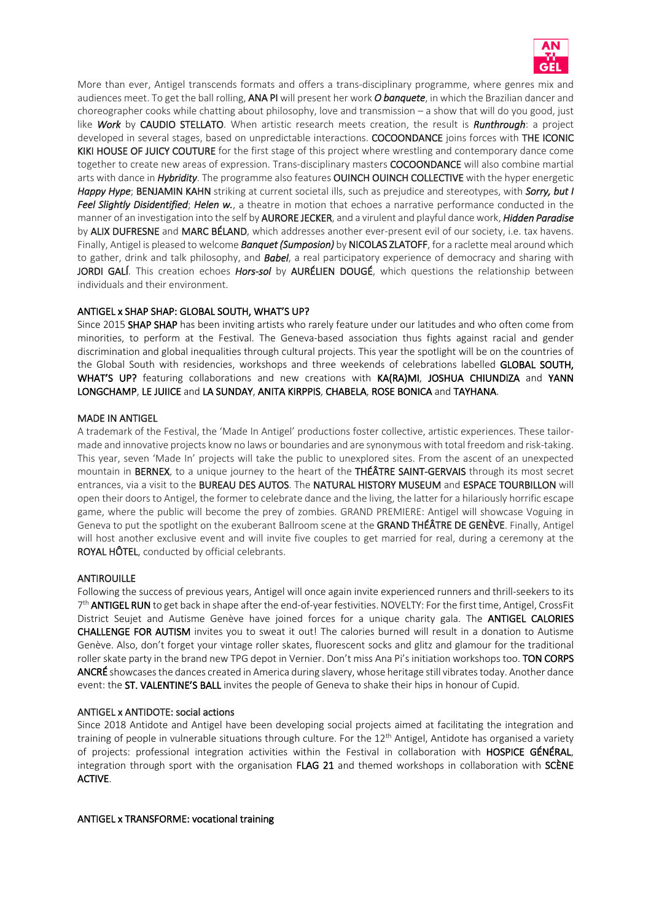

More than ever, Antigel transcends formats and offers a trans-disciplinary programme, where genres mix and audiences meet. To get the ball rolling, ANA PI will present her work *O banquete*, in which the Brazilian dancer and choreographer cooks while chatting about philosophy, love and transmission – a show that will do you good, just like *Work* by CAUDIO STELLATO. When artistic research meets creation, the result is *Runthrough*: a project developed in several stages, based on unpredictable interactions. COCOONDANCE joins forces with THE ICONIC KIKI HOUSE OF JUICY COUTURE for the first stage of this project where wrestling and contemporary dance come together to create new areas of expression. Trans-disciplinary masters COCOONDANCE will also combine martial arts with dance in *Hybridity*. The programme also features OUINCH OUINCH COLLECTIVE with the hyper energetic *Happy Hype*; BENJAMIN KAHN striking at current societal ills, such as prejudice and stereotypes, with *Sorry, but I Feel Slightly Disidentified*; *Helen w.*, a theatre in motion that echoes a narrative performance conducted in the manner of an investigation into the self by AURORE JECKER, and a virulent and playful dance work, *Hidden Paradise* by ALIX DUFRESNE and MARC BÉLAND, which addresses another ever-present evil of our society, i.e. tax havens. Finally, Antigel is pleased to welcome *Banquet (Sumposion)* by NICOLAS ZLATOFF, for a raclette meal around which to gather, drink and talk philosophy, and *Babel*, a real participatory experience of democracy and sharing with JORDI GALÍ. This creation echoes *Hors-sol* by AURÉLIEN DOUGÉ, which questions the relationship between individuals and their environment.

#### ANTIGEL x SHAP SHAP: GLOBAL SOUTH, WHAT'S UP?

Since 2015 **SHAP SHAP** has been inviting artists who rarely feature under our latitudes and who often come from minorities, to perform at the Festival. The Geneva-based association thus fights against racial and gender discrimination and global inequalities through cultural projects. This year the spotlight will be on the countries of the Global South with residencies, workshops and three weekends of celebrations labelled GLOBAL SOUTH, WHAT'S UP? featuring collaborations and new creations with KA(RA)MI, JOSHUA CHIUNDIZA and YANN LONGCHAMP, LE JUIICE and LA SUNDAY, ANITA KIRPPIS, CHABELA, ROSE BONICA and TAYHANA.

#### MADE IN ANTIGEL

A trademark of the Festival, the 'Made In Antigel' productions foster collective, artistic experiences. These tailormade and innovative projects know no laws or boundaries and are synonymous with total freedom and risk-taking. This year, seven 'Made In' projects will take the public to unexplored sites. From the ascent of an unexpected mountain in BERNEX, to a unique journey to the heart of the THÉÂTRE SAINT-GERVAIS through its most secret entrances, via a visit to the BUREAU DES AUTOS. The NATURAL HISTORY MUSEUM and ESPACE TOURBILLON will open their doors to Antigel, the former to celebrate dance and the living, the latter for a hilariously horrific escape game, where the public will become the prey of zombies. GRAND PREMIERE: Antigel will showcase Voguing in Geneva to put the spotlight on the exuberant Ballroom scene at the GRAND THÉÂTRE DE GENÈVE. Finally, Antigel will host another exclusive event and will invite five couples to get married for real, during a ceremony at the ROYAL HÔTEL, conducted by official celebrants.

#### **ANTIROUILLE**

Following the success of previous years, Antigel will once again invite experienced runners and thrill-seekers to its  $7<sup>th</sup>$  ANTIGEL RUN to get back in shape after the end-of-year festivities. NOVELTY: For the first time, Antigel, CrossFit District Seujet and Autisme Genève have joined forces for a unique charity gala. The **ANTIGEL CALORIES** CHALLENGE FOR AUTISM invites you to sweat it out! The calories burned will result in a donation to Autisme Genève. Also, don't forget your vintage roller skates, fluorescent socks and glitz and glamour for the traditional roller skate party in the brand new TPG depot in Vernier. Don't miss Ana Pi's initiation workshops too. TON CORPS ANCRÉ showcasesthe dances created in America during slavery, whose heritage still vibrates today. Another dance event: the ST. VALENTINE'S BALL invites the people of Geneva to shake their hips in honour of Cupid.

#### ANTIGEL x ANTIDOTE: social actions

Since 2018 Antidote and Antigel have been developing social projects aimed at facilitating the integration and training of people in vulnerable situations through culture. For the 12<sup>th</sup> Antigel, Antidote has organised a variety of projects: professional integration activities within the Festival in collaboration with HOSPICE GÉNÉRAL, integration through sport with the organisation FLAG 21 and themed workshops in collaboration with SCÈNE ACTIVE.

#### ANTIGEL x TRANSFORME: vocational training